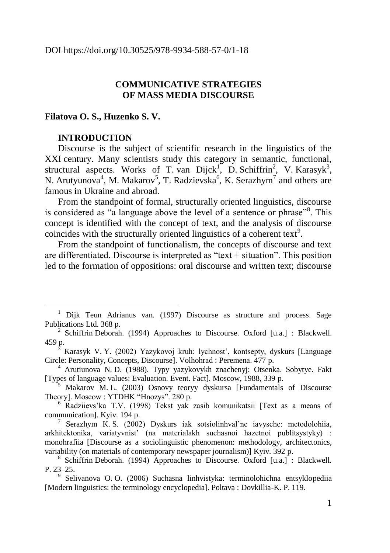# **COMMUNICATIVE STRATEGIES OF MASS MEDIA DISCOURSE**

#### **Filatova O. S., Huzenko S. V.**

#### **INTRODUCTION**

<u>.</u>

Discourse is the subject of scientific research in the linguistics of the XXI century. Many scientists study this category in semantic, functional, structural aspects. Works of T. van Dijck<sup>1</sup>, D. Schiffrin<sup>2</sup>, V. Karasyk<sup>3</sup>, N. Arutyunova<sup>4</sup>, M. Makarov<sup>5</sup>, T. Radzievska<sup>6</sup>, K. Serazhym<sup>7</sup> and others are famous in Ukraine and abroad.

From the standpoint of formal, structurally oriented linguistics, discourse is considered as "a language above the level of a sentence or phrase"<sup>8</sup>. This concept is identified with the concept of text, and the analysis of discourse coincides with the structurally oriented linguistics of a coherent text<sup>9</sup>.

From the standpoint of functionalism, the concepts of discourse and text are differentiated. Discourse is interpreted as "text  $+$  situation". This position led to the formation of oppositions: oral discourse and written text; discourse

<sup>&</sup>lt;sup>1</sup> Dijk Teun Adrianus van. (1997) Discourse as structure and process. Sage Publications Ltd. 368 p.

<sup>&</sup>lt;sup>2</sup> Schiffrin Deborah. (1994) Approaches to Discourse. Oxford [u.a.] : Blackwell. 459 p.

<sup>3</sup> Karasyk V. Y. (2002) Yazykovoj kruh: lychnost', kontsepty, dyskurs [Language Circle: Personality, Concepts, Discourse]. Volhohrad : Peremena. 477 p.

<sup>4</sup> Arutiunova N. D. (1988). Typy yazykovykh znachenyj: Otsenka. Sobytye. Fakt [Types of language values: Evaluation. Event. Fact]. Moscow, 1988, 339 p.

<sup>5</sup> Makarov M. L. (2003) Osnovy teoryy dyskursa [Fundamentals of Discourse Theory]. Moscow : YTDHK "Hnozys". 280 p.

<sup>6</sup> Radziievs'ka T.V. (1998) Tekst yak zasib komunikatsii [Text as a means of communication]. Kyiv. 194 p.

<sup>7</sup> Serazhym K. S. (2002) Dyskurs iak sotsiolinhval'ne iavysche: metodolohiia, arkhitektonika, variatyvnist' (na materialakh suchasnoi hazetnoi publitsystyky) : monohrafiia [Discourse as a sociolinguistic phenomenon: methodology, architectonics, variability (on materials of contemporary newspaper journalism)] Kyiv. 392 p.

<sup>8</sup> Schiffrin Deborah. (1994) Approaches to Discourse. Oxford [u.a.] : Blackwell. P. 23–25.

<sup>9</sup> Selivanova O. O. (2006) Suchasna linhvistyka: terminolohichna entsyklopediia [Modern linguistics: the terminology encyclopedia]. Poltava : Dovkillia-K. P. 119.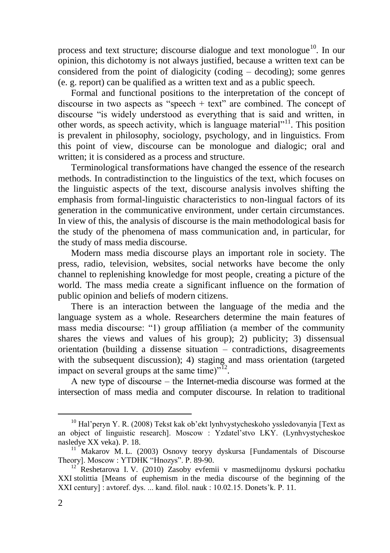process and text structure; discourse dialogue and text monologue<sup>10</sup>. In our opinion, this dichotomy is not always justified, because a written text can be considered from the point of dialogicity (coding – decoding); some genres (e. g. report) can be qualified as a written text and as a public speech.

Formal and functional positions to the interpretation of the concept of discourse in two aspects as "speech  $+$  text" are combined. The concept of discourse "is widely understood as everything that is said and written, in other words, as speech activity, which is language material"<sup>11</sup>. This position is prevalent in philosophy, sociology, psychology, and in linguistics. From this point of view, discourse can be monologue and dialogic; oral and written; it is considered as a process and structure.

Terminological transformations have changed the essence of the research methods. In contradistinction to the linguistics of the text, which focuses on the linguistic aspects of the text, discourse analysis involves shifting the emphasis from formal-linguistic characteristics to non-lingual factors of its generation in the communicative environment, under certain circumstances. In view of this, the analysis of discourse is the main methodological basis for the study of the phenomena of mass communication and, in particular, for the study of mass media discourse.

Modern mass media discourse plays an important role in society. The press, radio, television, websites, social networks have become the only channel to replenishing knowledge for most people, creating a picture of the world. The mass media create a significant influence on the formation of public opinion and beliefs of modern citizens.

There is an interaction between the language of the media and the language system as a whole. Researchers determine the main features of mass media discourse: "1) group affiliation (a member of the community shares the views and values of his group); 2) publicity; 3) dissensual orientation (building a dissense situation – contradictions, disagreements with the subsequent discussion); 4) staging and mass orientation (targeted impact on several groups at the same time)"<sup>12</sup>.

А new type of discourse – the Internet-media discourse was formed at the intersection of mass media and computer discourse. In relation to traditional

 $^{10}$  Hal'peryn Y. R. (2008) Tekst kak ob'ekt lynhvystycheskoho yssledovanyia [Text as an object of linguistic research]. Moscow : Yzdatel'stvo LKY. (Lynhvystycheskoe nasledye XX veka). P. 18.

<sup>&</sup>lt;sup>1</sup> Makarov M. L. (2003) Osnovy teoryy dyskursa [Fundamentals of Discourse Theory]. Moscow : YTDHK "Hnozys". P. 89-90.

<sup>&</sup>lt;sup>12</sup> Reshetarova I. V. (2010) Zasoby evfemii v masmedijnomu dyskursi pochatku XXI stolittia [Means of euphemism in the media discourse of the beginning of the XXI century] : avtoref. dys. ... kand. filol. nauk : 10.02.15. Donets'k. P. 11.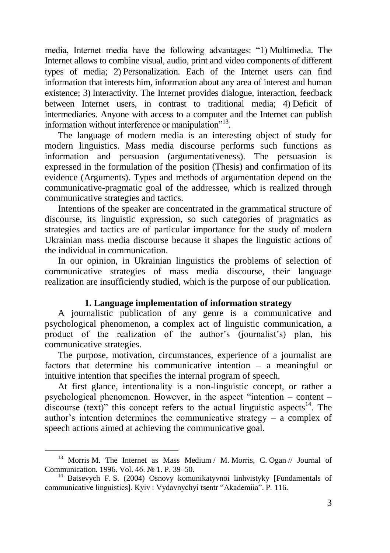media, Internet media have the following advantages: "1) Multimedia. The Internet allows to combine visual, audio, print and video components of different types of media; 2) Personalization. Each of the Internet users can find information that interests him, information about any area of interest and human existence; 3) Interactivity. The Internet provides dialogue, interaction, feedback between Internet users, in contrast to traditional media; 4) Deficit of intermediaries. Anyone with access to a computer and the Internet can publish information without interference or manipulation"<sup>13</sup>.

The language of modern media is an interesting object of study for modern linguistics. Mass media discourse performs such functions as information and persuasion (argumentativeness). The persuasion is expressed in the formulation of the position (Thesis) and confirmation of its evidence (Arguments). Types and methods of argumentation depend on the communicative-pragmatic goal of the addressee, which is realized through communicative strategies and tactics.

Intentions of the speaker are concentrated in the grammatical structure of discourse, its linguistic expression, so such categories of pragmatics as strategies and tactics are of particular importance for the study of modern Ukrainian mass media discourse because it shapes the linguistic actions of the individual in communication.

In our opinion, in Ukrainian linguistics the problems of selection of communicative strategies of mass media discourse, their language realization are insufficiently studied, which is the purpose of our publication.

## **1. Language implementation of information strategy**

A journalistic publication of any genre is a communicative and psychological phenomenon, a complex act of linguistic communication, a product of the realization of the author's (journalist's) plan, his communicative strategies.

The purpose, motivation, circumstances, experience of a journalist are factors that determine his communicative intention – a meaningful or intuitive intention that specifies the internal program of speech.

At first glance, intentionality is a non-linguistic concept, or rather a psychological phenomenon. However, in the aspect "intention – content – discourse (text)" this concept refers to the actual linguistic aspects<sup>14</sup>. The author's intention determines the communicative strategy – a complex of speech actions aimed at achieving the communicative goal.

<u>.</u>

<sup>&</sup>lt;sup>13</sup> Morris M. The Internet as Mass Medium / M. Morris, C. Ogan // Journal of Communication. 1996. Vol. 46. № 1. P. 39–50.

<sup>&</sup>lt;sup>14</sup> Batsevych F. S. (2004) Osnovy komunikatyvnoi linhvistyky [Fundamentals of communicative linguistics]. Kyiv : Vydavnychyi tsentr "Akademiia". P. 116.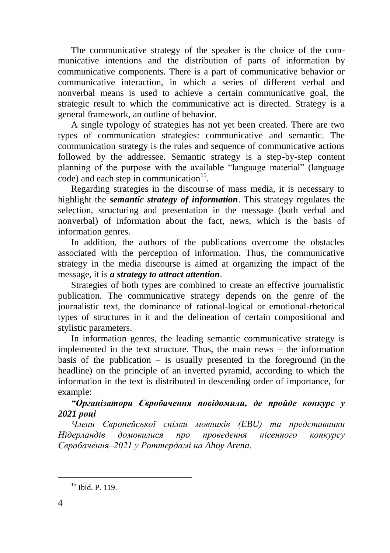The communicative strategy of the speaker is the choice of the communicative intentions and the distribution of parts of information by communicative components. There is a part of communicative behavior or communicative interaction, in which a series of different verbal and nonverbal means is used to achieve a certain communicative goal, the strategic result to which the communicative act is directed. Strategy is a general framework, an outline of behavior.

A single typology of strategies has not yet been created. There are two types of communication strategies: communicative and semantic. The communication strategy is the rules and sequence of communicative actions followed by the addressee. Semantic strategy is a step-by-step content planning of the purpose with the available "language material" (language code) and each step in communication<sup>15</sup>.

Regarding strategies in the discourse of mass media, it is necessary to highlight the *semantic strategy of information*. This strategy regulates the selection, structuring and presentation in the message (both verbal and nonverbal) of information about the fact, news, which is the basis of information genres.

In addition, the authors of the publications overcome the obstacles associated with the perception of information. Thus, the communicative strategy in the media discourse is aimed at organizing the impact of the message, it is *a strategy to attract attention*.

Strategies of both types are combined to create an effective journalistic publication. The communicative strategy depends on the genre of the journalistic text, the dominance of rational-logical or emotional-rhetorical types of structures in it and the delineation of certain compositional and stylistic parameters.

In information genres, the leading semantic communicative strategy is implemented in the text structure. Thus, the main news – the information basis of the publication  $-$  is usually presented in the foreground (in the headline) on the principle of an inverted pyramid, according to which the information in the text is distributed in descending order of importance, for example:

# *"Організатори Євробачення повідомили, де пройде конкурс у 2021 році*

*Члени Європейської спілки мовників (EBU) та представники Нідерландів домовилися про проведення пісенного конкурсу Євробачення–2021 у Роттердамі на Ahoy Arena.*

<sup>&</sup>lt;sup>15</sup> Ibid. P. 119.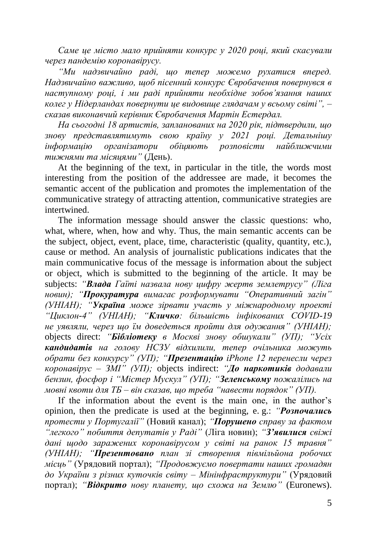*Саме це місто мало прийняти конкурс у 2020 році, який скасували через пандемію коронавірусу.*

*"Ми надзвичайно раді, що тепер можемо рухатися вперед. Надзвичайно важливо, щоб пісенний конкурс Євробачення повернувся в наступному році, і ми раді прийняти необхідне зобов'язання наших колег у Нідерландах повернути це видовище глядачам у всьому світі", – сказав виконавчий керівник Євробачення Мартін Естердал.*

*На сьогодні 18 артистів, запланованих на 2020 рік, підтвердили, що знову представлятимуть свою країну у 2021 році. Детальнішу інформацію організатори обіцяють розповісти найближчими тижнями та місяцями"* (День).

At the beginning of the text, in particular in the title, the words most interesting from the position of the addressee are made, it becomes the semantic accent of the publication and promotes the implementation of the communicative strategy of attracting attention, communicative strategies are intertwined.

The information message should answer the classic questions: who, what, where, when, how and why. Thus, the main semantic accents can be the subject, object, event, place, time, characteristic (quality, quantity, etc.), cause or method. An analysis of journalistic publications indicates that the main communicative focus of the message is information about the subject or object, which is submitted to the beginning of the article. It may be subjects: *"Влада Гаїті назвала нову цифру жертв землетрусу" (Ліга новин); "Прокуратура вимагає розформувати "Оперативний загін" (УНІАН); "Україна може зірвати участь у міжнародному проекті "Циклон-4" (УНІАН); "Кличко: більшість інфікованих COVID-19 не уявляли, через що їм доведеться пройти для одужання" (УНІАН);*  objects direct: *"Бібліотеку в Москві знову обшукали" (УП); "Усіх кандидатів на голову НСЗУ відхилили, тепер очільника можуть обрати без конкурсу" (УП); "Презентацію iPhone 12 перенесли через коронавірус – ЗМІ" (УП);* objects indirect: *"До наркотиків додавали бензин, фосфор і "Містер Мускул" (УП); "Зеленському пожалілись на мовні квоти для ТБ – він сказав, що треба "навести порядок" (УП).*

If the information about the event is the main one, in the author's opinion, then the predicate is used at the beginning, e. g.: *"Розпочались протести у Португалії"* (Новий канал); *"Порушено справу за фактом "легкого" побиття депутатів у Раді"* (Ліга новин); *"З'явилися свіжі дані щодо заражених коронавірусом у світі на ранок 15 травня" (УНІАН); "Презентовано план зі створення півмільйона робочих місць"* (Урядовий портал); *"Продовжуємо повертати наших громадян до України з різних куточків світу – Мінінфраструктури"* (Урядовий портал); *"Відкрито нову планету, що схожа на Землю"* (Euronews).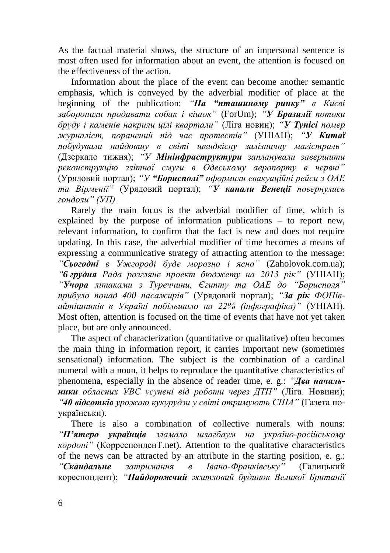As the factual material shows, the structure of an impersonal sentence is most often used for information about an event, the attention is focused on the effectiveness of the action.

Information about the place of the event can become another semantic emphasis, which is conveyed by the adverbial modifier of place at the beginning of the publication: *"На "пташиному ринку" в Києві заборонили продавати собак і кішок"* (ForUm); *"У Бразилії потоки бруду і каменів накрили цілі квартали"* (Ліга новин); *"У Тунісі помер журналіст, поранений під час протестів"* (УНІАН); *"У Китаї побудували найдовшу в світі швидкісну залізничну магістраль"* (Дзеркало тижня); *"У Мінінфраструктури запланували завершити реконструкцію злітної смуги в Одеському аеропорту в червні"*  (Урядовий портал); *"У "Борисполі" оформили евакуаційні рейси з ОАЕ та Вірменії"* (Урядовий портал); *"У канали Венеції повернулись гондоли" (УП).*

Rarely the main focus is the adverbial modifier of time, which is explained by the purpose of information publications – to report new, relevant information, to confirm that the fact is new and does not require updating. In this case, the adverbial modifier of time becomes a means of expressing a communicative strategy of attracting attention to the message: *"Сьогодні в Ужгороді буде морозно і ясно"* (Zaholovok.com.ua); *"6 грудня Рада розгляне проект бюджету на 2013 рік"* (УНІАН); *"Учора літаками з Туреччини, Єгипту та ОАЕ до "Борисполя" прибуло понад 400 пасажирів"* (Урядовий портал); *"За рік ФОПівайтішників в Україні побільшало на 22% (інфографіка)"* (УНІАН). Most often, attention is focused on the time of events that have not yet taken place, but are only announced.

The aspect of characterization (quantitative or qualitative) often becomes the main thing in information report, it carries important new (sometimes sensational) information. The subject is the combination of a cardinal numeral with a noun, it helps to reproduce the quantitative characteristics of phenomena, especially in the absence of reader time, e. g.: *"Два начальники обласних УВС усунені від роботи через ДТП"* (Ліга. Новини); *"40 відсотків урожаю кукурудзи у світі отримують США"* (Газета поукраїнськи).

There is also a combination of collective numerals with nouns: *"П'ятеро українців зламало шлагбаум на україно-російському кордоні"* (КорреспонденТ.net). Attention to the qualitative characteristics of the news can be attracted by an attribute in the starting position, e. g.: *"Скандальне затримання в Івано-Франківську"* (Галицький кореспондент); *"Найдорожчий житловий будинок Великої Британії*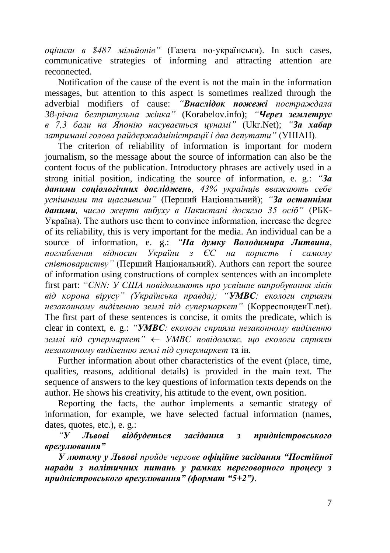*оцінили в \$487 мільйонів"* (Газета по-українськи). In such cases, communicative strategies of informing and attracting attention are reconnected.

Notification of the cause of the event is not the main in the information messages, but attention to this aspect is sometimes realized through the adverbial modifiers of cause: *"Внаслідок пожежі постраждала 38-річна безпритульна жінка"* (Korabelov.info); *"Через землетрус в 7,3 бали на Японію насувається цунамі"* (Ukr.Net); *"За хабар затримані голова райдержадміністрації і два депутати"* (УНІАН).

The criterion of reliability of information is important for modern journalism, so the message about the source of information can also be the content focus of the publication. Introductory phrases are actively used in a strong initial position, indicating the source of information, e. g.: *"За даними соціологічних досліджень, 43% українців вважають себе успішними та щасливими"* (Перший Національний); *"За останніми даними, число жертв вибуху в Пакистані досягло 35 осіб"* (РБК-Україна). The authors use them to convince information, increase the degree of its reliability, this is very important for the media. An individual can be a source of information, e. g.: *"На думку Володимира Литвина, поглиблення відносин України з ЄС на користь і самому співтовариству"* (Перший Національний). Authors can report the source of information using constructions of complex sentences with an incomplete first part: *"CNN: У США повідомляють про успішне випробування ліків від корона вірусу" (Українська правда); "УМВС: екологи сприяли незаконному виділенню землі під супермаркет"* (КорреспонденТ.net). The first part of these sentences is concise, it omits the predicate, which is clear in context, e. g.: *"УМВС: екологи сприяли незаконному виділенню землі під супермаркет" УМВС повідомляє, що екологи сприяли незаконному виділенню землі під супермаркет* та ін.

Further information about other characteristics of the event (place, time, qualities, reasons, additional details) is provided in the main text. The sequence of answers to the key questions of information texts depends on the author. He shows his creativity, his attitude to the event, own position.

Reporting the facts, the author implements a semantic strategy of information, for example, we have selected factual information (names, dates, quotes, etc.), e. g.:

*"У Львові відбудеться засідання з придністровського врегулювання"*

*У лютому у Львові пройде чергове офіційне засідання "Постійної наради з політичних питань у рамках переговорного процесу з придністровського врегулювання" (формат "5+2").*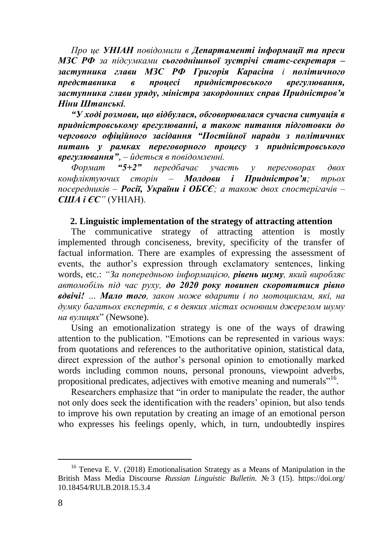*Про це УНІАН повідомили в Департаменті інформації та преси МЗС РФ за підсумками сьогоднішньої зустрічі статс-секретаря – заступника глави МЗС РФ Григорія Карасіна і політичного представника в процесі придністровського врегулювання, заступника глави уряду, міністра закордонних справ Придністров'я Ніни Штанські.*

*"У ході розмови, що відбулася, обговорювалася сучасна ситуація в придністровському врегулюванні, а також питання підготовки до чергового офіційного засідання "Постійної наради з політичних питань у рамках переговорного процесу з придністровського врегулювання", – йдеться в повідомленні.*

*Формат "5+2" передбачає участь у переговорах двох конфліктуючих сторін – Молдови і Придністров'я; трьох посередників – Росії, України і ОБСЄ; а також двох спостерігачів – США і ЄС"* (УНІАН).

#### **2. Linguistic implementation of the strategy of attracting attention**

The communicative strategy of attracting attention is mostly implemented through conciseness, brevity, specificity of the transfer of factual information. There are examples of expressing the assessment of events, the author's expression through exclamatory sentences, linking words, etc.: *"За попередньою інформацією, рівень шуму, який виробляє автомобіль під час руху, до 2020 року повинен скоротитися рівно вдвічі! … Мало того, закон може вдарити і по мотоциклам, які, на думку багатьох експертів, є в деяких містах основним джерелом шуму на вулицях*" (Newsone).

Using an emotionalization strategy is one of the ways of drawing attention to the publication. "Emotions can be represented in various ways: from quotations and references to the authoritative opinion, statistical data, direct expression of the author's personal opinion to emotionally marked words including common nouns, personal pronouns, viewpoint adverbs, propositional predicates, adjectives with emotive meaning and numerals"<sup>16</sup>.

Researchers emphasize that "in order to manipulate the reader, the author not only does seek the identification with the readers' opinion, but also tends to improve his own reputation by creating an image of an emotional person who expresses his feelings openly, which, in turn, undoubtedly inspires

<sup>16</sup> Teneva E. V. (2018) Emotionalisation Strategy as a Means of Manipulation in the British Mass Media Discourse *Russian Linguistic Bulletin.* № 3 (15). https://doi.org/ 10.18454/RULB.2018.15.3.4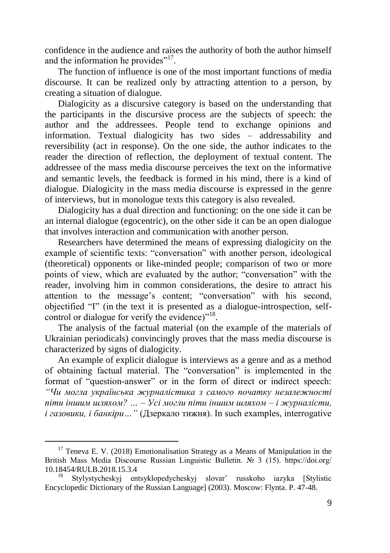confidence in the audience and raises the authority of both the author himself and the information he provides"<sup>17</sup>.

The function of influence is one of the most important functions of media discourse. It can be realized only by attracting attention to a person, by creating a situation of dialogue.

Dialogicity as a discursive category is based on the understanding that the participants in the discursive process are the subjects of speech: the author and the addressees. People tend to exchange opinions and information. Textual dialogicity has two sides – addressability and reversibility (act in response). On the one side, the author indicates to the reader the direction of reflection, the deployment of textual content. The addressee of the mass media discourse perceives the text on the informative and semantic levels, the feedback is formed in his mind, there is a kind of dialogue. Dialogicity in the mass media discourse is expressed in the genre of interviews, but in monologue texts this category is also revealed.

Dialogicity has a dual direction and functioning: on the one side it can be an internal dialogue (egocentric), on the other side it can be an open dialogue that involves interaction and communication with another person.

Researchers have determined the means of expressing dialogicity on the example of scientific texts: "conversation" with another person, ideological (theoretical) opponents or like-minded people; comparison of two or more points of view, which are evaluated by the author; "сonversation" with the reader, involving him in common considerations, the desire to attract his attention to the message's content; "сonversation" with his second, objectified "I" (in the text it is presented as a dialogue-introspection, selfcontrol or dialogue for verify the evidence)"<sup>18</sup>.

The analysis of the factual material (on the example of the materials of Ukrainian periodicals) convincingly proves that the mass media discourse is characterized by signs of dialogicity.

An example of explicit dialogue is interviews as a genre and as a method of obtaining factual material. The "conversation" is implemented in the format of "question-answer" or in the form of direct or indirect speech: *"Чи могла українська журналістика з самого початку незалежності піти іншим шляхом? … – Усі могли піти іншим шляхом – і журналісти, і газовики, і банкіри…"* (Дзеркало тижня). In such examples, interrogative

<u>.</u>

 $17$  Teneva E. V. (2018) Emotionalisation Strategy as a Means of Manipulation in the British Mass Media Discourse Russian Linguistic Bulletin. № 3 (15). https://doi.org/ 10.18454/RULB.2018.15.3.4

<sup>18</sup> Stylystycheskyj entsyklopedycheskyj slovar' russkoho iazyka [Stylistic Encyclopedic Dictionary of the Russian Language] (2003). Moscow: Flynta. P. 47-48.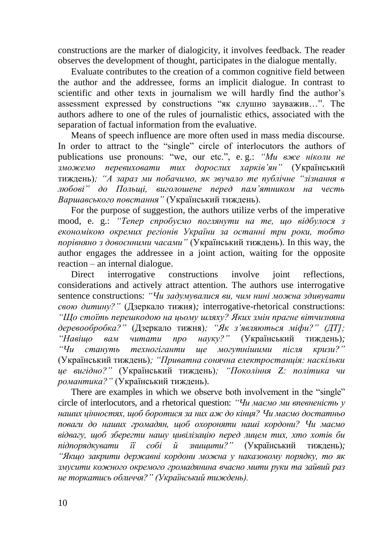constructions are the marker of dialogicity, it involves feedback. The reader observes the development of thought, participates in the dialogue mentally.

Evaluate contributes to the creation of a common cognitive field between the author and the addressee, forms an implicit dialogue. In contrast to scientific and other texts in journalism we will hardly find the author's assessment expressed by constructions "як слушно зауважив…". The authors adhere to one of the rules of journalistic ethics, associated with the separation of factual information from the evaluative.

Means of speech influence are more often used in mass media discourse. In order to attract to the "single" circle of interlocutors the authors of publications use pronouns: "we, our etc.", e. g.: *"Ми вже ніколи не зможемо перевиховати тих дорослих харків'ян"* (Український тиждень)*; "А зараз ми побачимо, як звучало те публічне "зізнання в любові" до Польщі, виголошене перед пам'ятником на честь Варшавського повстання"* (Український тиждень)*.*

For the purpose of suggestion, the authors utilize verbs of the imperative mood, e. g.: *"Тепер спробуємо поглянути на те, що відбулося з економікою окремих регіонів України за останні три роки, тобто порівняно з довоєнними часами"* (Український тиждень)*.* In this way, the author engages the addressee in a joint action, waiting for the opposite reaction – an internal dialogue.

Direct interrogative constructions involve joint reflections, considerations and actively attract attention. The authors use interrogative sentence constructions: *"Чи задумувалися ви, чим нині можна здивувати свою дитину?"* (Дзеркало тижня)*;* interrogative-rhetorical constructions: *"Що стоїть перешкодою на цьому шляху? Яких змін прагне вітчизняна деревообробка?"* (Дзеркало тижня)*; "Як з'являються міфи?" (ДТ]; "Навіщо вам читати про науку?"* (Український тиждень)*; "Чи стануть техногіганти ще могутнішими після кризи?"*  (Український тиждень)*; "Приватна сонячна електростанція: наскільки це вигідно?"* (Український тиждень)*; "Покоління Z: політика чи романтика?"* (Український тиждень)*.*

There are examples in which we observe both involvement in the "single" circle of interlocutors, and a rhetorical question: *"Чи маємо ми впевненість у наших цінностях, щоб боротися за них аж до кінця? Чи маємо достатньо поваги до наших громадян, щоб охороняти наші кордони? Чи маємо відвагу, щоб зберегти нашу цивілізацію перед лицем тих, хто хотів би підпорядкувати її собі й знищити?"* (Український тиждень)*; "Якщо закрити державні кордони можна у наказовому порядку, то як змусити кожного окремого громадянина вчасно мити руки та зайвий раз не торкатись обличчя?" (Український тиждень).*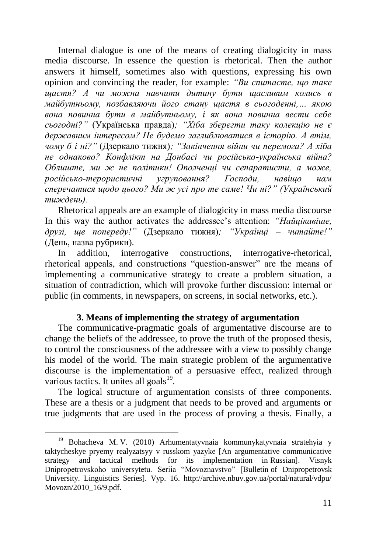Internal dialogue is one of the means of creating dialogicity in mass media discourse. In essence the question is rhetorical. Then the author answers it himself, sometimes also with questions, expressing his own opinion and convincing the reader, for example: *"Ви спитаєте, що таке щастя? А чи можна навчити дитину бути щасливим колись в майбутньому, позбавляючи його стану щастя в сьогоденні,… якою вона повинна бути в майбутньому, і як вона повинна вести себе сьогодні?"* (Українська правда)*; "Хіба зберегти таку колекцію не є державним інтересом? Не будемо заглиблюватися в історію. А втім, чому б і ні?"* (Дзеркало тижня)*; "Закінчення війни чи перемога? А хіба не однаково? Конфлікт на Донбасі чи російсько-українська війна? Облиште, ми ж не політики! Ополченці чи сепаратисти, а може, російсько-терористичні угруповання? Господи, навіщо нам сперечатися щодо цього? Ми ж усі про те саме! Чи ні?" (Український тиждень).*

Rhetorical appeals are an example of dialogicity in mass media discourse In this way the author activates the addressee's attention: *"Найцікавіше, друзі, ще попереду!"* (Дзеркало тижня)*; "Українці – читайте!"*  (День, назва рубрики)*.*

In addition, interrogative constructions, interrogative-rhetorical, rhetorical appeals, and constructions "question-answer" are the means of implementing a communicative strategy to create a problem situation, a situation of contradiction, which will provoke further discussion: internal or public (in comments, in newspapers, on screens, in social networks, etc.).

#### **3. Means of implementing the strategy of argumentation**

The communicative-pragmatic goals of argumentative discourse are to change the beliefs of the addressee, to prove the truth of the proposed thesis, to control the consciousness of the addressee with a view to possibly change his model of the world. The main strategic problem of the argumentative discourse is the implementation of a persuasive effect, realized through various tactics. It unites all goals $^{19}$ .

The logical structure of argumentation consists of three components. These are a thesis or a judgment that needs to be proved and arguments or true judgments that are used in the process of proving a thesis. Finally, a

<u>.</u>

<sup>19</sup> Bohacheva M. V. (2010) Arhumentatyvnaia kommunykatyvnaia stratehyia y taktycheskye pryemy realyzatsyy v russkom yazyke [An argumentative communicative strategy and tactical methods for its implementation in Russian]. Visnyk Dnipropetrovskoho universytetu. Seriia "Movoznavstvo" [Bulletin of Dnipropetrovsk University. Linguistics Series]. Vyp. 16. http://archive.nbuv.gov.ua/portal/natural/vdpu/ Movozn/2010\_16/9.pdf.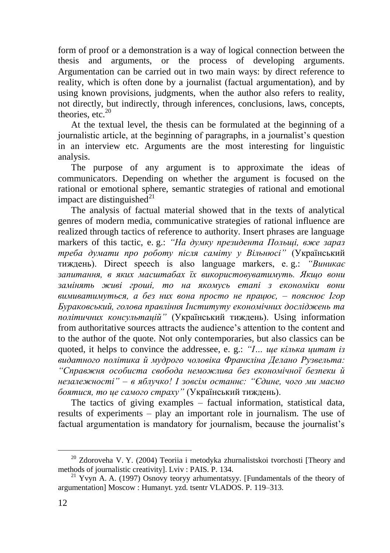form of proof or a demonstration is a way of logical connection between the thesis and arguments, or the process of developing arguments. Argumentation can be carried out in two main ways: by direct reference to reality, which is often done by a journalist (factual argumentation), and by using known provisions, judgments, when the author also refers to reality, not directly, but indirectly, through inferences, conclusions, laws, concepts, theories, etc. $20$ 

At the textual level, the thesis can be formulated at the beginning of a journalistic article, at the beginning of paragraphs, in a journalist's question in an interview etc. Arguments are the most interesting for linguistic analysis.

The purpose of any argument is to approximate the ideas of communicators. Depending on whether the argument is focused on the rational or emotional sphere, semantic strategies of rational and emotional impact are distinguished $21$ 

The analysis of factual material showed that in the texts of analytical genres of modern media, communicative strategies of rational influence are realized through tactics of reference to authority. Insert phrases are language markers of this tactic, e. g.: *"На думку президента Польщі, вже зараз треба думати про роботу після саміту у Вільнюсі"* (Український тиждень). Direct speech is also language markers, e. g.: *"Виникає запитання, в яких масштабах їх використовуватимуть. Якщо вони замінять живі гроші, то на якомусь етапі з економіки вони вимиватимуться, а без них вона просто не працює, – пояснює Ігор Бураковський, голова правління Інституту економічних досліджень та політичних консультацій"* (Український тиждень). Using information from authoritative sources attracts the audience's attention to the content and to the author of the quote. Not only contemporaries, but also classics can be quoted, it helps to convince the addressee, e. g.: *"І… ще кілька цитат із видатного політика й мудрого чоловіка Франкліна Делано Рузвельта: "Справжня особиста свобода неможлива без економічної безпеки й незалежності" – в яблучко! І зовсім останнє: "Єдине, чого ми маємо боятися, то це самого страху"* (Український тиждень).

The tactics of giving examples – factual information, statistical data, results of experiments – play an important role in journalism. The use of factual argumentation is mandatory for journalism, because the journalist's

<sup>20</sup> Zdoroveha V. Y. (2004) Teoriia i metodyka zhurnalistskoi tvorchosti [Theory and methods of journalistic creativity]. Lviv : PAIS. P. 134.

<sup>&</sup>lt;sup>21</sup> Yvyn A. A. (1997) Osnovy teoryy arhumentatsyy. [Fundamentals of the theory of argumentation] Moscow : Humanyt. yzd. tsentr VLADOS. P. 119–313.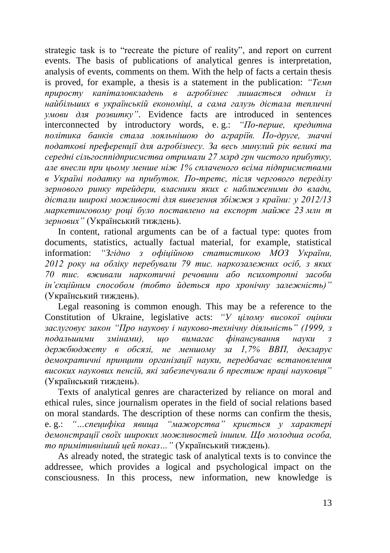strategic task is to "recreate the picture of reality", and report on current events. The basis of publications of analytical genres is interpretation, analysis of events, comments on them. With the help of facts a certain thesis is proved, for example, a thesis is a statement in the publication: *"Темп приросту капіталовкладень в агробізнес лишається одним із найбільших в українській економіці, а сама галузь дістала тепличні умови для розвитку"*. Evidence facts are introduced in sentences interconnected by introductory words, e. g.: *"По-перше, кредитна політика банків стала лояльнішою до аграріїв. По-друге, значні податкові преференції для агробізнесу. За весь минулий рік великі та середні сільгосппідприємства отримали 27 млрд грн чистого прибутку, але внесли при цьому менше ніж 1% сплаченого всіма підприємствами в Україні податку на прибуток. По-третє, після чергового переділу зернового ринку трейдери, власники яких є наближеними до влади, дістали широкі можливості для вивезення збіжжя з країни: у 2012/13 маркетинговому році було поставлено на експорт майже 23 млн т зернових"* (Український тиждень).

In content, rational arguments can be of a factual type: quotes from documents, statistics, actually factual material, for example, statistical information: *"Згідно з офіційною статистикою МОЗ України, 2012 року на обліку перебували 79 тис. наркозалежних осіб, з яких 70 тис. вживали наркотичні речовини або психотропні засоби ін'єкційним способом (тобто йдеться про хронічну залежність)"* (Український тиждень).

Legal reasoning is common enough. This may be a reference to the Constitution of Ukraine, legislative acts: *"У цілому високої оцінки заслуговує закон "Про наукову і науково-технічну діяльність" (1999, з подальшими змінами), що вимагає фінансування науки з держбюджету в обсязі, не меншому за 1,7% ВВП, декларує демократичні принципи організації науки, передбачає встановлення високих наукових пенсій, які забезпечували б престиж праці науковця"*  (Український тиждень).

Texts of analytical genres are characterized by reliance on moral and ethical rules, since journalism operates in the field of social relations based on moral standards. The description of these norms can confirm the thesis, e. g.: *"…специфіка явища "мажорства" криється у характері демонстрації своїх широких можливостей іншим. Що молодша особа, то примітивніший цей показ…"* (Український тиждень).

As already noted, the strategic task of analytical texts is to convince the addressee, which provides a logical and psychological impact on the consciousness. In this process, new information, new knowledge is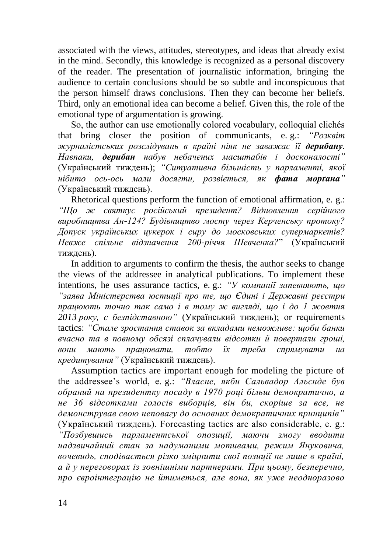associated with the views, attitudes, stereotypes, and ideas that already exist in the mind. Secondly, this knowledge is recognized as a personal discovery of the reader. The presentation of journalistic information, bringing the audience to certain conclusions should be so subtle and inconspicuous that the person himself draws conclusions. Then they can become her beliefs. Third, only an emotional idea can become a belief. Given this, the role of the emotional type of argumentation is growing.

So, the author can use emotionally colored vocabulary, colloquial clichés that bring closer the position of communicants, e. g.: *"Розквіт журналістських розслідувань в країні ніяк не заважає її дерибану. Навпаки, дерибан набув небачених масштабів і досконалості"* (Український тиждень); *"Ситуативна більшість у парламенті, якої нібито ось-ось мали досягти, розвіється, як фата морґана"* (Український тиждень).

Rhetorical questions perform the function of emotional affirmation, e. g.: *"Що ж святкує російський президент? Відновлення серійного виробництва Ан-124? Будівництво мосту через Керченську протоку? Допуск українських цукерок і сиру до московських супермаркетів? Невже спільне відзначення 200-річчя Шевченка?*" (Український тиждень).

In addition to arguments to confirm the thesis, the author seeks to change the views of the addressee in analytical publications. To implement these intentions, he uses assurance tactics, e. g.: *"У компанії запевняють, що "заява Міністерства юстиції про те, що Єдині і Державні реєстри працюють точно так само і в тому ж вигляді, що і до 1 жовтня 2013 року, є безпідставною"* (Український тиждень); or requirements tactics: *"Стале зростання ставок за вкладами неможливе: щоби банки вчасно та в повному обсязі сплачували відсотки й повертали гроші, вони мають працювати, тобто їх треба спрямувати на кредитування"* (Український тиждень).

Assumption tactics are important enough for modeling the picture of the addressee's world, e. g.: *"Власне, якби Сальвадор Альєнде був обраний на президентку посаду в 1970 році більш демократично, а не 36 відсотками голосів виборців, він би, скоріше за все, не демонстрував свою неповагу до основних демократичних принципів"* (Український тиждень). Forecasting tactics are also considerable, e. g.: *"Позбувшись парламентської опозиції, маючи змогу вводити надзвичайний стан за надуманими мотивами, режим Януковича, вочевидь, сподівається різко зміцнити свої позиції не лише в країні, а й у переговорах із зовнішніми партнерами. При цьому, безперечно, про євроінтеграцію не йтиметься, але вона, як уже неодноразово*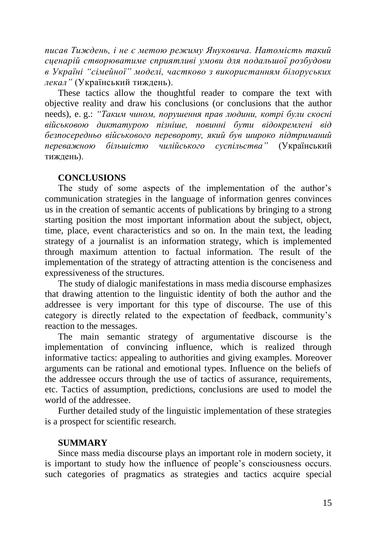*писав Тиждень, і не є метою режиму Януковича. Натомість такий сценарій створюватиме сприятливі умови для подальшої розбудови в Україні "сімейної" моделі, частково з використанням білоруських лекал"* (Український тиждень).

These tactics allow the thoughtful reader to compare the text with objective reality and draw his conclusions (or conclusions that the author needs), e. g.: *"Таким чином, порушення прав людини, котрі були скоєні військовою диктатурою пізніше, повинні бути відокремлені від безпосередньо військового перевороту, який був широко підтриманий переважною більшістю чилійського суспільства"* (Український тиждень).

#### **CONCLUSIONS**

The study of some aspects of the implementation of the author's communication strategies in the language of information genres convinces us in the creation of semantic accents of publications by bringing to a strong starting position the most important information about the subject, object, time, place, event characteristics and so on. In the main text, the leading strategy of a journalist is an information strategy, which is implemented through maximum attention to factual information. The result of the implementation of the strategy of attracting attention is the conciseness and expressiveness of the structures.

The study of dialogic manifestations in mass media discourse emphasizes that drawing attention to the linguistic identity of both the author and the addressee is very important for this type of discourse. The use of this category is directly related to the expectation of feedback, community's reaction to the messages.

The main semantic strategy of argumentative discourse is the implementation of convincing influence, which is realized through informative tactics: appealing to authorities and giving examples. Moreover arguments can be rational and emotional types. Influence on the beliefs of the addressee occurs through the use of tactics of assurance, requirements, etc. Tactics of assumption, predictions, conclusions are used to model the world of the addressee.

Further detailed study of the linguistic implementation of these strategies is a prospect for scientific research.

#### **SUMMARY**

Since mass media discourse plays an important role in modern society, it is important to study how the influence of people's consciousness occurs. such categories of pragmatics as strategies and tactics acquire special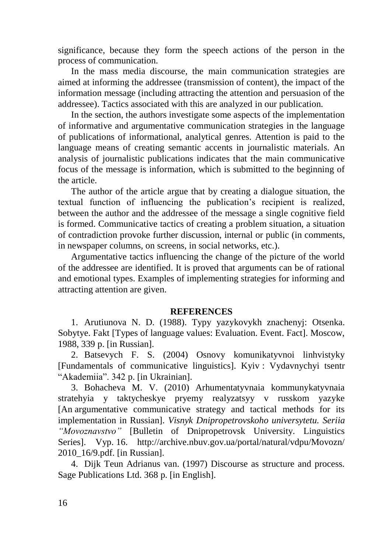significance, because they form the speech actions of the person in the process of communication.

In the mass media discourse, the main communication strategies are aimed at informing the addressee (transmission of content), the impact of the information message (including attracting the attention and persuasion of the addressee). Tactics associated with this are analyzed in our publication.

In the section, the authors investigate some aspects of the implementation of informative and argumentative communication strategies in the language of publications of informational, analytical genres. Attention is paid to the language means of creating semantic accents in journalistic materials. An analysis of journalistic publications indicates that the main communicative focus of the message is information, which is submitted to the beginning of the article.

The author of the article argue that by creating a dialogue situation, the textual function of influencing the publication's recipient is realized, between the author and the addressee of the message a single cognitive field is formed. Communicative tactics of creating a problem situation, a situation of contradiction provoke further discussion, internal or public (in comments, in newspaper columns, on screens, in social networks, etc.).

Argumentative tactics influencing the change of the picture of the world of the addressee are identified. It is proved that arguments can be of rational and emotional types. Examples of implementing strategies for informing and attracting attention are given.

#### **REFERENCES**

1. Arutiunova N. D. (1988). Typy yazykovykh znachenyj: Otsenka. Sobytye. Fakt [Types of language values: Evaluation. Event. Fact]. Moscow, 1988, 339 p. [in Russian].

2. Batsevych F. S. (2004) Osnovy komunikatyvnoi linhvistyky [Fundamentals of communicative linguistics]. Kyiv : Vydavnychyi tsentr "Akademiia". 342 p. [in Ukrainian].

3. Bohacheva M. V. (2010) Arhumentatyvnaia kommunykatyvnaia stratehyia y taktycheskye pryemy realyzatsyy v russkom yazyke [An argumentative communicative strategy and tactical methods for its implementation in Russian]. *Visnyk Dnipropetrovskoho universytetu. Seriia "Movoznavstvo"* [Bulletin of Dnipropetrovsk University. Linguistics Series]. Vyp. 16. http://archive.nbuv.gov.ua/portal/natural/vdpu/Movozn/ 2010\_16/9.pdf. [in Russian].

4. Dijk Teun Adrianus van. (1997) Discourse as structure and process. Sage Publications Ltd. 368 p. [in English].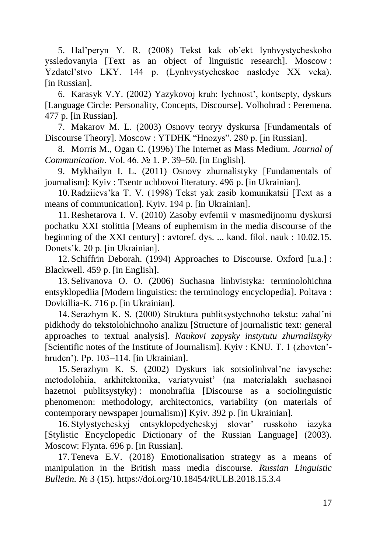5. Hal'peryn Y. R. (2008) Tekst kak ob'ekt lynhvystycheskoho yssledovanyia [Text as an object of linguistic research]. Moscow : Yzdatel'stvo LKY. 144 p. (Lynhvystycheskoe nasledye XX veka). [in Russian].

6. Karasyk V.Y. (2002) Yazykovoj kruh: lychnost', kontsepty, dyskurs [Language Circle: Personality, Concepts, Discourse]. Volhohrad : Peremena. 477 p. [in Russian].

7. Makarov M. L. (2003) Osnovy teoryy dyskursa [Fundamentals of Discourse Theory]. Moscow : YTDHK "Hnozys". 280 p. [in Russian].

8. Morris M., Ogan C. (1996) The Internet as Mass Medium. *Journal of Communication*. Vol. 46. № 1. P. 39–50. [in English].

9. Mykhailyn I. L. (2011) Osnovy zhurnalistyky [Fundamentals of journalism]: Kyiv : Tsentr uchbovoi literatury. 496 p. [in Ukrainian].

10.Radziievs'ka T. V. (1998) Tekst yak zasib komunikatsii [Text as a means of communication]. Kyiv. 194 p. [in Ukrainian].

11.Reshetarova I. V. (2010) Zasoby evfemii v masmedijnomu dyskursi pochatku XXI stolittia [Means of euphemism in the media discourse of the beginning of the XXI century] : avtoref. dys. ... kand. filol. nauk : 10.02.15. Donets'k. 20 p. [in Ukrainian].

12. Schiffrin Deborah. (1994) Approaches to Discourse. Oxford [u.a.] : Blackwell. 459 p. [in English].

13. Selivanova O. O. (2006) Suchasna linhvistyka: terminolohichna entsyklopediia [Modern linguistics: the terminology encyclopedia]. Poltava : Dovkillia-K. 716 p. [in Ukrainian].

14. Serazhym K. S. (2000) Struktura publitsystychnoho tekstu: zahal'ni pidkhody do tekstolohichnoho analizu [Structure of journalistic text: general approaches to textual analysis]. *Naukovi zapysky instytutu zhurnalistyky*  [Scientific notes of the Institute of Journalism]. Kyiv : KNU. T. 1 (zhovten' hruden'). Pp. 103–114. [in Ukrainian].

15. Serazhym K. S. (2002) Dyskurs iak sotsiolinhval'ne iavysche: metodolohiia, arkhitektonika, variatyvnist' (na materialakh suchasnoi hazetnoi publitsystyky) : monohrafiia [Discourse as a sociolinguistic phenomenon: methodology, architectonics, variability (on materials of contemporary newspaper journalism)] Kyiv. 392 p. [in Ukrainian].

16. Stylystycheskyj entsyklopedycheskyj slovar' russkoho iazyka [Stylistic Encyclopedic Dictionary of the Russian Language] (2003). Moscow: Flynta. 696 p. [in Russian].

17. Teneva E.V. (2018) Emotionalisation strategy as a means of manipulation in the British mass media discourse. *Russian Linguistic Bulletin.* № 3 (15). https://doi.org/10.18454/RULB.2018.15.3.4